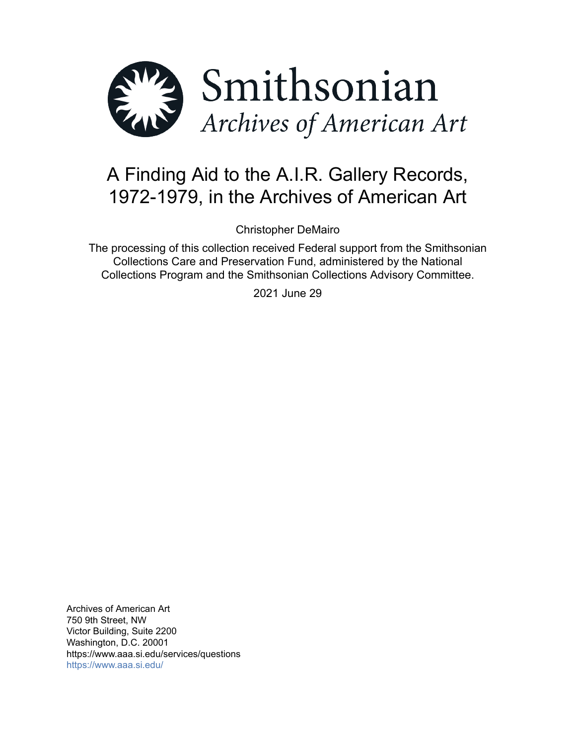

# A Finding Aid to the A.I.R. Gallery Records, 1972-1979, in the Archives of American Art

Christopher DeMairo

The processing of this collection received Federal support from the Smithsonian Collections Care and Preservation Fund, administered by the National Collections Program and the Smithsonian Collections Advisory Committee.

2021 June 29

Archives of American Art 750 9th Street, NW Victor Building, Suite 2200 Washington, D.C. 20001 https://www.aaa.si.edu/services/questions <https://www.aaa.si.edu/>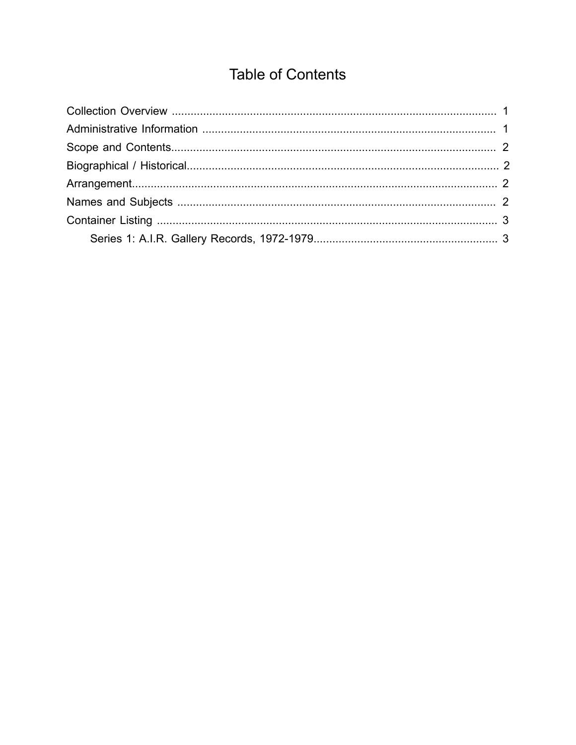## **Table of Contents**

<span id="page-1-0"></span>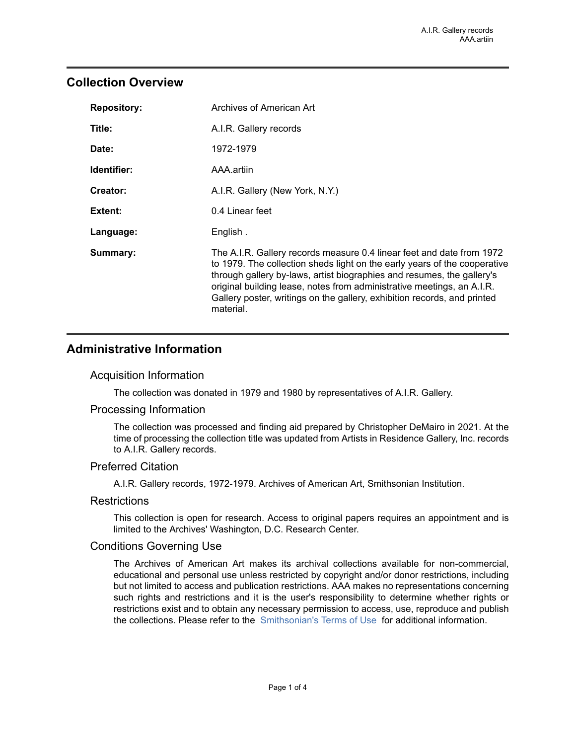## <span id="page-2-0"></span>**Collection Overview**

| <b>Repository:</b> | Archives of American Art                                                                                                                                                                                                                                                                                                                                                                        |
|--------------------|-------------------------------------------------------------------------------------------------------------------------------------------------------------------------------------------------------------------------------------------------------------------------------------------------------------------------------------------------------------------------------------------------|
| Title:             | A.I.R. Gallery records                                                                                                                                                                                                                                                                                                                                                                          |
| Date:              | 1972-1979                                                                                                                                                                                                                                                                                                                                                                                       |
| Identifier:        | AAA artiin                                                                                                                                                                                                                                                                                                                                                                                      |
| Creator:           | A.I.R. Gallery (New York, N.Y.)                                                                                                                                                                                                                                                                                                                                                                 |
| Extent:            | 0.4 Linear feet                                                                                                                                                                                                                                                                                                                                                                                 |
| Language:          | English.                                                                                                                                                                                                                                                                                                                                                                                        |
| Summary:           | The A.I.R. Gallery records measure 0.4 linear feet and date from 1972<br>to 1979. The collection sheds light on the early years of the cooperative<br>through gallery by-laws, artist biographies and resumes, the gallery's<br>original building lease, notes from administrative meetings, an A.I.R.<br>Gallery poster, writings on the gallery, exhibition records, and printed<br>material. |

## <span id="page-2-1"></span>**Administrative Information**

#### Acquisition Information

The collection was donated in 1979 and 1980 by representatives of A.I.R. Gallery.

### Processing Information

The collection was processed and finding aid prepared by Christopher DeMairo in 2021. At the time of processing the collection title was updated from Artists in Residence Gallery, Inc. records to A.I.R. Gallery records.

#### Preferred Citation

A.I.R. Gallery records, 1972-1979. Archives of American Art, Smithsonian Institution.

#### **Restrictions**

This collection is open for research. Access to original papers requires an appointment and is limited to the Archives' Washington, D.C. Research Center.

### Conditions Governing Use

The Archives of American Art makes its archival collections available for non-commercial, educational and personal use unless restricted by copyright and/or donor restrictions, including but not limited to access and publication restrictions. AAA makes no representations concerning such rights and restrictions and it is the user's responsibility to determine whether rights or restrictions exist and to obtain any necessary permission to access, use, reproduce and publish the collections. Please refer to the [Smithsonian's](https://www.si.edu/termsofuse) Terms of Use for additional information.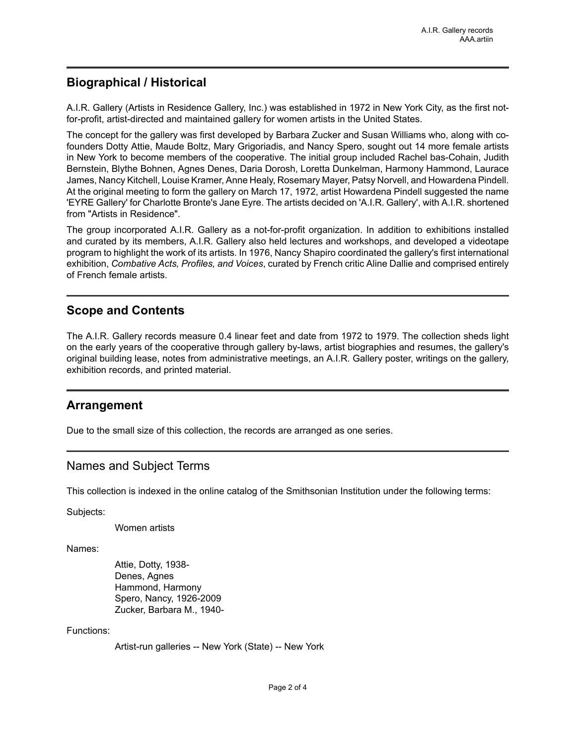## <span id="page-3-1"></span>**Biographical / Historical**

A.I.R. Gallery (Artists in Residence Gallery, Inc.) was established in 1972 in New York City, as the first notfor-profit, artist-directed and maintained gallery for women artists in the United States.

The concept for the gallery was first developed by Barbara Zucker and Susan Williams who, along with cofounders Dotty Attie, Maude Boltz, Mary Grigoriadis, and Nancy Spero, sought out 14 more female artists in New York to become members of the cooperative. The initial group included Rachel bas-Cohain, Judith Bernstein, Blythe Bohnen, Agnes Denes, Daria Dorosh, Loretta Dunkelman, Harmony Hammond, Laurace James, Nancy Kitchell, Louise Kramer, Anne Healy, Rosemary Mayer, Patsy Norvell, and Howardena Pindell. At the original meeting to form the gallery on March 17, 1972, artist Howardena Pindell suggested the name 'EYRE Gallery' for Charlotte Bronte's Jane Eyre. The artists decided on 'A.I.R. Gallery', with A.I.R. shortened from "Artists in Residence".

The group incorporated A.I.R. Gallery as a not-for-profit organization. In addition to exhibitions installed and curated by its members, A.I.R. Gallery also held lectures and workshops, and developed a videotape program to highlight the work of its artists. In 1976, Nancy Shapiro coordinated the gallery's first international exhibition, *Combative Acts, Profiles, and Voices*, curated by French critic Aline Dallie and comprised entirely of French female artists.

## <span id="page-3-0"></span>**Scope and Contents**

The A.I.R. Gallery records measure 0.4 linear feet and date from 1972 to 1979. The collection sheds light on the early years of the cooperative through gallery by-laws, artist biographies and resumes, the gallery's original building lease, notes from administrative meetings, an A.I.R. Gallery poster, writings on the gallery, exhibition records, and printed material.

## <span id="page-3-2"></span>**Arrangement**

Due to the small size of this collection, the records are arranged as one series.

### <span id="page-3-3"></span>Names and Subject Terms

This collection is indexed in the online catalog of the Smithsonian Institution under the following terms:

Subjects:

Women artists

Names:

Attie, Dotty, 1938- Denes, Agnes Hammond, Harmony Spero, Nancy, 1926-2009 Zucker, Barbara M., 1940-

#### Functions:

Artist-run galleries -- New York (State) -- New York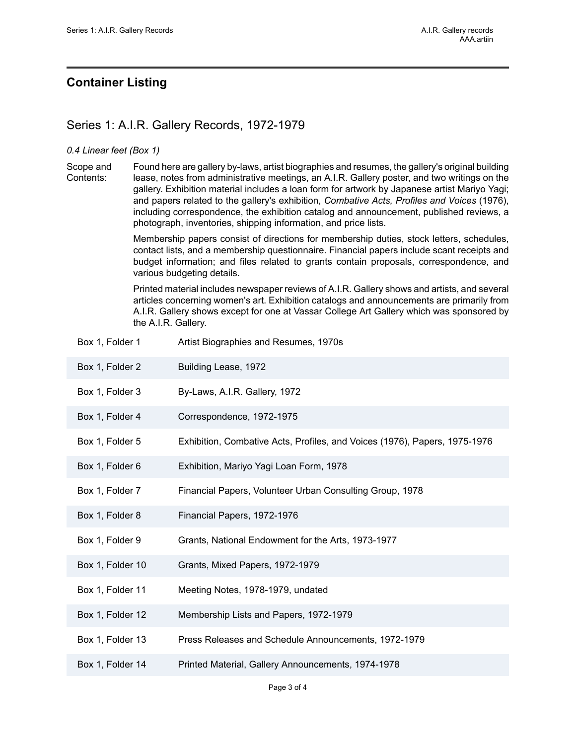## <span id="page-4-0"></span>**Container Listing**

## <span id="page-4-1"></span>Series 1: A.I.R. Gallery Records, 1972-1979

#### *0.4 Linear feet (Box 1)*

Scope and Contents: Found here are gallery by-laws, artist biographies and resumes, the gallery's original building lease, notes from administrative meetings, an A.I.R. Gallery poster, and two writings on the gallery. Exhibition material includes a loan form for artwork by Japanese artist Mariyo Yagi; and papers related to the gallery's exhibition, *Combative Acts, Profiles and Voices* (1976), including correspondence, the exhibition catalog and announcement, published reviews, a photograph, inventories, shipping information, and price lists.

> Membership papers consist of directions for membership duties, stock letters, schedules, contact lists, and a membership questionnaire. Financial papers include scant receipts and budget information; and files related to grants contain proposals, correspondence, and various budgeting details.

> Printed material includes newspaper reviews of A.I.R. Gallery shows and artists, and several articles concerning women's art. Exhibition catalogs and announcements are primarily from A.I.R. Gallery shows except for one at Vassar College Art Gallery which was sponsored by the A.I.R. Gallery.

| Box 1, Folder 1  | Artist Biographies and Resumes, 1970s                                      |
|------------------|----------------------------------------------------------------------------|
| Box 1, Folder 2  | Building Lease, 1972                                                       |
| Box 1, Folder 3  | By-Laws, A.I.R. Gallery, 1972                                              |
| Box 1, Folder 4  | Correspondence, 1972-1975                                                  |
| Box 1, Folder 5  | Exhibition, Combative Acts, Profiles, and Voices (1976), Papers, 1975-1976 |
| Box 1, Folder 6  | Exhibition, Mariyo Yagi Loan Form, 1978                                    |
| Box 1, Folder 7  | Financial Papers, Volunteer Urban Consulting Group, 1978                   |
| Box 1, Folder 8  | Financial Papers, 1972-1976                                                |
| Box 1, Folder 9  | Grants, National Endowment for the Arts, 1973-1977                         |
| Box 1, Folder 10 | Grants, Mixed Papers, 1972-1979                                            |
| Box 1, Folder 11 | Meeting Notes, 1978-1979, undated                                          |
| Box 1, Folder 12 | Membership Lists and Papers, 1972-1979                                     |
| Box 1, Folder 13 | Press Releases and Schedule Announcements, 1972-1979                       |
| Box 1, Folder 14 | Printed Material, Gallery Announcements, 1974-1978                         |